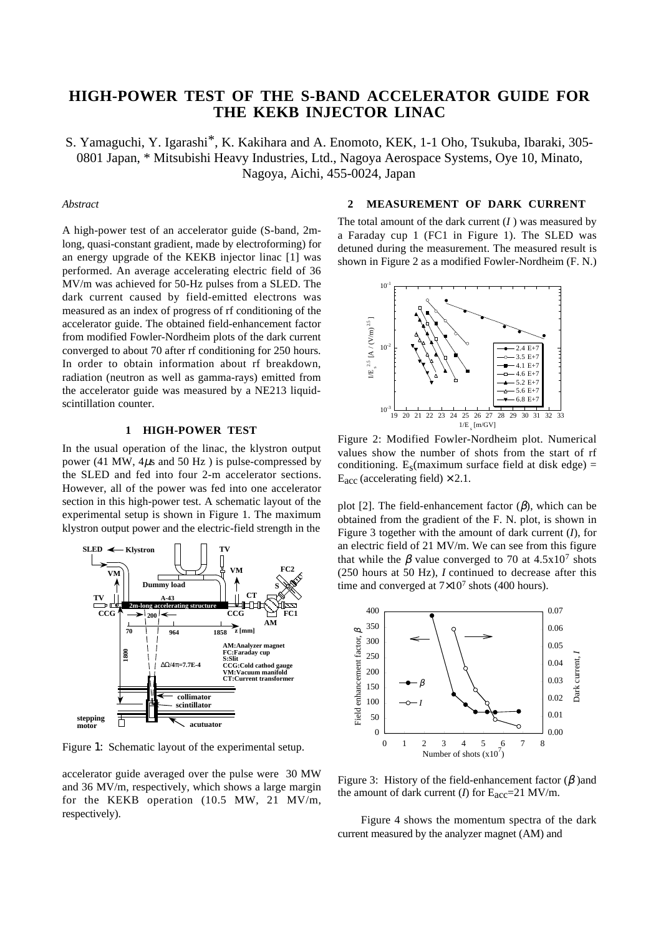# **HIGH-POWER TEST OF THE S-BAND ACCELERATOR GUIDE FOR THE KEKB INJECTOR LINAC**

S. Yamaguchi, Y. Igarashi\*, K. Kakihara and A. Enomoto, KEK, 1-1 Oho, Tsukuba, Ibaraki, 305- 0801 Japan, \* Mitsubishi Heavy Industries, Ltd., Nagoya Aerospace Systems, Oye 10, Minato, Nagoya, Aichi, 455-0024, Japan

## *Abstract*

A high-power test of an accelerator guide (S-band, 2mlong, quasi-constant gradient, made by electroforming) for an energy upgrade of the KEKB injector linac [1] was performed. An average accelerating electric field of 36 MV/m was achieved for 50-Hz pulses from a SLED. The dark current caused by field-emitted electrons was measured as an index of progress of rf conditioning of the accelerator guide. The obtained field-enhancement factor from modified Fowler-Nordheim plots of the dark current converged to about 70 after rf conditioning for 250 hours. In order to obtain information about rf breakdown, radiation (neutron as well as gamma-rays) emitted from the accelerator guide was measured by a NE213 liquidscintillation counter.

## **1 HIGH-POWER TEST**

In the usual operation of the linac, the klystron output power (41 MW,  $4\mu s$  and 50 Hz) is pulse-compressed by the SLED and fed into four 2-m accelerator sections. However, all of the power was fed into one accelerator section in this high-power test. A schematic layout of the experimental setup is shown in Figure 1. The maximum klystron output power and the electric-field strength in the



Figure 1: Schematic layout of the experimental setup.

accelerator guide averaged over the pulse were 30 MW and 36 MV/m, respectively, which shows a large margin for the KEKB operation (10.5 MW, 21 MV/m, respectively).

#### **2 MEASUREMENT OF DARK CURRENT**

The total amount of the dark current (*I* ) was measured by a Faraday cup 1 (FC1 in Figure 1). The SLED was detuned during the measurement. The measured result is shown in Figure 2 as a modified Fowler-Nordheim (F. N.)



Figure 2: Modified Fowler-Nordheim plot. Numerical values show the number of shots from the start of rf conditioning.  $E_s$ (maximum surface field at disk edge) =  $E_{\text{acc}}$  (accelerating field)  $\times$  2.1.

plot [2]. The field-enhancement factor  $(\beta)$ , which can be obtained from the gradient of the F. N. plot, is shown in Figure 3 together with the amount of dark current (*I*), for an electric field of 21 MV/m. We can see from this figure that while the  $\beta$  value converged to 70 at 4.5x10<sup>7</sup> shots (250 hours at 50 Hz), *I* continued to decrease after this time and converged at  $7\times10^7$  shots (400 hours).



Figure 3: History of the field-enhancement factor  $(\beta)$  and the amount of dark current (*I*) for  $E_{\text{acc}} = 21 \text{ MV/m}$ .

Figure 4 shows the momentum spectra of the dark current measured by the analyzer magnet (AM) and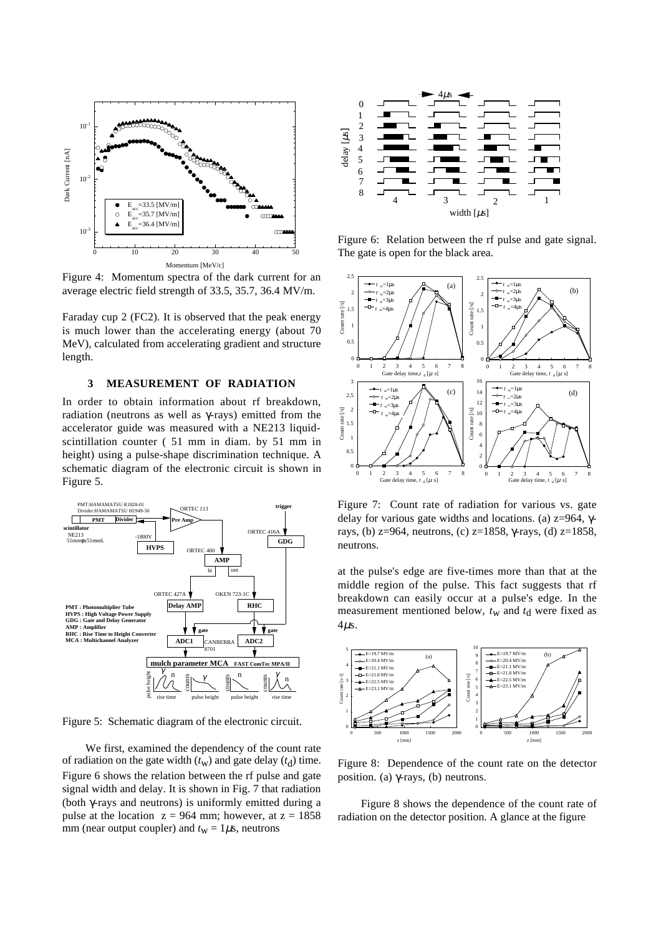

Figure 4: Momentum spectra of the dark current for an average electric field strength of 33.5, 35.7, 36.4 MV/m.

Faraday cup 2 (FC2). It is observed that the peak energy is much lower than the accelerating energy (about 70 MeV), calculated from accelerating gradient and structure length.

#### **3 MEASUREMENT OF RADIATION**

In order to obtain information about rf breakdown, radiation (neutrons as well as γ-rays) emitted from the accelerator guide was measured with a NE213 liquidscintillation counter ( 51 mm in diam. by 51 mm in height) using a pulse-shape discrimination technique. A schematic diagram of the electronic circuit is shown in Figure 5.



Figure 5: Schematic diagram of the electronic circuit.

We first, examined the dependency of the count rate of radiation on the gate width  $(t_w)$  and gate delay  $(t_d)$  time. Figure 6 shows the relation between the rf pulse and gate signal width and delay. It is shown in Fig. 7 that radiation (both γ-rays and neutrons) is uniformly emitted during a pulse at the location  $z = 964$  mm; however, at  $z = 1858$ mm (near output coupler) and  $t_w = 1 \mu s$ , neutrons



Figure 6: Relation between the rf pulse and gate signal. The gate is open for the black area.



Figure 7: Count rate of radiation for various vs. gate delay for various gate widths and locations. (a) z=964, γrays, (b) z=964, neutrons, (c) z=1858, γ-rays, (d) z=1858, neutrons.

at the pulse's edge are five-times more than that at the middle region of the pulse. This fact suggests that rf breakdown can easily occur at a pulse's edge. In the measurement mentioned below,  $t_w$  and  $t_d$  were fixed as  $4\mu s$ .



Figure 8: Dependence of the count rate on the detector position. (a) γ-rays, (b) neutrons.

Figure 8 shows the dependence of the count rate of radiation on the detector position. A glance at the figure